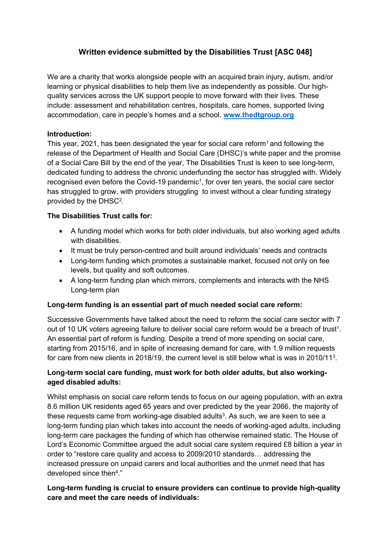# **Written evidence submitted by the Disabilities Trust [ASC 048]**

We are a charity that works alongside people with an acquired brain injury, autism, and/or learning or physical disabilities to help them live as independently as possible. Our highquality services across the UK support people to move forward with their lives. These include: assessment and rehabilitation centres, hospitals, care homes, supported living accommodation, care in people's homes and a school. **[www.thedtgroup.org](http://www.thedtgroup.org/)**

### **Introduction:**

This year, 2021, has been designated the year for social care reform<sup>1</sup> and following the release of the Department of Health and Social Care (DHSC)'s white paper and the promise of a Social Care Bill by the end of the year, The Disabilities Trust is keen to see long-term, dedicated funding to address the chronic underfunding the sector has struggled with. Widely recognised even before the Covid-19 pandemic<sup>1</sup>, for over ten years, the social care sector has struggled to grow, with providers struggling to invest without a clear funding strategy provided by the DHSC<sup>2</sup>.

### **The Disabilities Trust calls for:**

- A funding model which works for both older individuals, but also working aged adults with disabilities.
- It must be truly person-centred and built around individuals' needs and contracts
- Long-term funding which promotes a sustainable market, focused not only on fee levels, but quality and soft outcomes.
- A long-term funding plan which mirrors, complements and interacts with the NHS Long-term plan

### **Long-term funding is an essential part of much needed social care reform:**

Successive Governments have talked about the need to reform the social care sector with 7 out of 10 UK voters agreeing failure to deliver social care reform would be a breach of trust<sup>1</sup>. An essential part of reform is funding. Despite a trend of more spending on social care, starting from 2015/16, and in spite of increasing demand for care, with 1.9 million requests for care from new clients in 2018/19, the current level is still below what is was in 2010/11<sup>3</sup>.

### **Long-term social care funding, must work for both older adults, but also workingaged disabled adults:**

Whilst emphasis on social care reform tends to focus on our ageing population, with an extra 8.6 million UK residents aged 65 years and over predicted by the year 2066, the majority of these requests came from working-age disabled adults<sup>3</sup>. As such, we are keen to see a long-term funding plan which takes into account the needs of working-aged adults, including long-term care packages the funding of which has otherwise remained static. The House of Lord's Economic Committee argued the adult social care system required £8 billion a year in order to "restore care quality and access to 2009/2010 standards… addressing the increased pressure on unpaid carers and local authorities and the unmet need that has developed since then<sup>4</sup>."

## **Long-term funding is crucial to ensure providers can continue to provide high-quality care and meet the care needs of individuals:**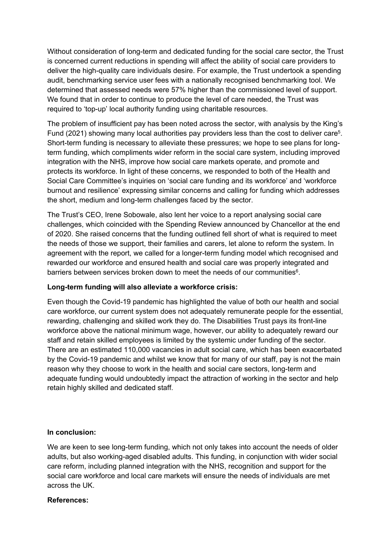Without consideration of long-term and dedicated funding for the social care sector, the Trust is concerned current reductions in spending will affect the ability of social care providers to deliver the high-quality care individuals desire. For example, the Trust undertook a spending audit, benchmarking service user fees with a nationally recognised benchmarking tool. We determined that assessed needs were 57% higher than the commissioned level of support. We found that in order to continue to produce the level of care needed, the Trust was required to 'top-up' local authority funding using charitable resources.

The problem of insufficient pay has been noted across the sector, with analysis by the King's Fund (2021) showing many local authorities pay providers less than the cost to deliver care<sup>5</sup>. Short-term funding is necessary to alleviate these pressures; we hope to see plans for longterm funding, which compliments wider reform in the social care system, including improved integration with the NHS, improve how social care markets operate, and promote and protects its workforce. In light of these concerns, we responded to both of the Health and Social Care Committee's inquiries on 'social care funding and its workforce' and 'workforce burnout and resilience' expressing similar concerns and calling for funding which addresses the short, medium and long-term challenges faced by the sector.

The Trust's CEO, Irene Sobowale, also lent her voice to a report analysing social care challenges, which coincided with the Spending Review announced by Chancellor at the end of 2020. She raised concerns that the funding outlined fell short of what is required to meet the needs of those we support, their families and carers, let alone to reform the system. In agreement with the report, we called for a longer-term funding model which recognised and rewarded our workforce and ensured health and social care was properly integrated and barriers between services broken down to meet the needs of our communities<sup>6</sup>.

#### **Long-term funding will also alleviate a workforce crisis:**

Even though the Covid-19 pandemic has highlighted the value of both our health and social care workforce, our current system does not adequately remunerate people for the essential, rewarding, challenging and skilled work they do. The Disabilities Trust pays its front-line workforce above the national minimum wage, however, our ability to adequately reward our staff and retain skilled employees is limited by the systemic under funding of the sector. There are an estimated 110,000 vacancies in adult social care, which has been exacerbated by the Covid-19 pandemic and whilst we know that for many of our staff, pay is not the main reason why they choose to work in the health and social care sectors, long-term and adequate funding would undoubtedly impact the attraction of working in the sector and help retain highly skilled and dedicated staff.

#### **In conclusion:**

We are keen to see long-term funding, which not only takes into account the needs of older adults, but also working-aged disabled adults. This funding, in conjunction with wider social care reform, including planned integration with the NHS, recognition and support for the social care workforce and local care markets will ensure the needs of individuals are met across the UK.

#### **References:**